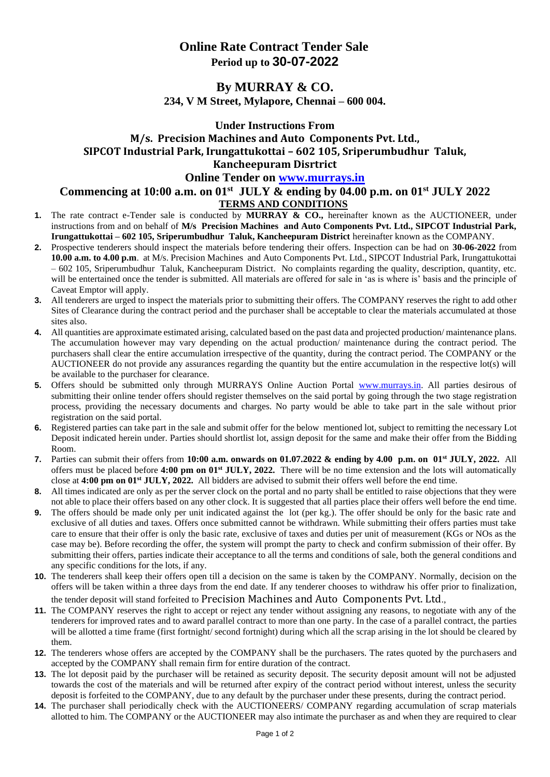# **Online Rate Contract Tender Sale Period up to 30-07-2022**

### **By MURRAY & CO. 234, V M Street, Mylapore, Chennai – 600 004.**

# **Under Instructions From M/s. Precision Machines and Auto Components Pvt. Ltd., SIPCOT Industrial Park, Irungattukottai – 602 105, Sriperumbudhur Taluk, Kancheepuram Disrtrict**

### **Online Tender on [www.murrays.in](http://www.murrays.in/)**

### **Commencing at 10:00 a.m. on 01 st JULY & ending by 04.00 p.m. on 01 st JULY 2022 TERMS AND CONDITIONS**

- **1.** The rate contract e-Tender sale is conducted by **MURRAY & CO.,** hereinafter known as the AUCTIONEER, under instructions from and on behalf of **M/s Precision Machines and Auto Components Pvt. Ltd., SIPCOT Industrial Park, Irungattukottai – 602 105, Sriperumbudhur Taluk, Kancheepuram District** hereinafter known as the COMPANY.
- **2.** Prospective tenderers should inspect the materials before tendering their offers. Inspection can be had on **30-06-2022** from **10.00 a.m. to 4.00 p.m**. at M/s. Precision Machines and Auto Components Pvt. Ltd., SIPCOT Industrial Park, Irungattukottai – 602 105, Sriperumbudhur Taluk, Kancheepuram District. No complaints regarding the quality, description, quantity, etc. will be entertained once the tender is submitted. All materials are offered for sale in 'as is where is' basis and the principle of Caveat Emptor will apply.
- **3.** All tenderers are urged to inspect the materials prior to submitting their offers. The COMPANY reserves the right to add other Sites of Clearance during the contract period and the purchaser shall be acceptable to clear the materials accumulated at those sites also.
- **4.** All quantities are approximate estimated arising, calculated based on the past data and projected production/ maintenance plans. The accumulation however may vary depending on the actual production/ maintenance during the contract period. The purchasers shall clear the entire accumulation irrespective of the quantity, during the contract period. The COMPANY or the AUCTIONEER do not provide any assurances regarding the quantity but the entire accumulation in the respective lot(s) will be available to the purchaser for clearance.
- **5.** Offers should be submitted only through MURRAYS Online Auction Portal [www.murrays.in.](http://www.murrays.in/) All parties desirous of submitting their online tender offers should register themselves on the said portal by going through the two stage registration process, providing the necessary documents and charges. No party would be able to take part in the sale without prior registration on the said portal.
- **6.** Registered parties can take part in the sale and submit offer for the below mentioned lot, subject to remitting the necessary Lot Deposit indicated herein under. Parties should shortlist lot, assign deposit for the same and make their offer from the Bidding Room.
- **7.** Parties can submit their offers from **10:00 a.m. onwards on 01.07.2022 & ending by 4.00 p.m. on 01 st JULY, 2022.** All offers must be placed before **4:00 pm on 01 st JULY, 2022.** There will be no time extension and the lots will automatically close at **4:00 pm on 01 st JULY, 2022.** All bidders are advised to submit their offers well before the end time.
- **8.** All times indicated are only as per the server clock on the portal and no party shall be entitled to raise objections that they were not able to place their offers based on any other clock. It is suggested that all parties place their offers well before the end time.
- **9.** The offers should be made only per unit indicated against the lot (per kg.). The offer should be only for the basic rate and exclusive of all duties and taxes. Offers once submitted cannot be withdrawn. While submitting their offers parties must take care to ensure that their offer is only the basic rate, exclusive of taxes and duties per unit of measurement (KGs or NOs as the case may be). Before recording the offer, the system will prompt the party to check and confirm submission of their offer. By submitting their offers, parties indicate their acceptance to all the terms and conditions of sale, both the general conditions and any specific conditions for the lots, if any.
- **10.** The tenderers shall keep their offers open till a decision on the same is taken by the COMPANY. Normally, decision on the offers will be taken within a three days from the end date. If any tenderer chooses to withdraw his offer prior to finalization, the tender deposit will stand forfeited to Precision Machines and Auto Components Pvt. Ltd.,
- **11.** The COMPANY reserves the right to accept or reject any tender without assigning any reasons, to negotiate with any of the tenderers for improved rates and to award parallel contract to more than one party. In the case of a parallel contract, the parties will be allotted a time frame (first fortnight/ second fortnight) during which all the scrap arising in the lot should be cleared by them.
- **12.** The tenderers whose offers are accepted by the COMPANY shall be the purchasers. The rates quoted by the purchasers and accepted by the COMPANY shall remain firm for entire duration of the contract.
- **13.** The lot deposit paid by the purchaser will be retained as security deposit. The security deposit amount will not be adjusted towards the cost of the materials and will be returned after expiry of the contract period without interest, unless the security deposit is forfeited to the COMPANY, due to any default by the purchaser under these presents, during the contract period.
- **14.** The purchaser shall periodically check with the AUCTIONEERS/ COMPANY regarding accumulation of scrap materials allotted to him. The COMPANY or the AUCTIONEER may also intimate the purchaser as and when they are required to clear